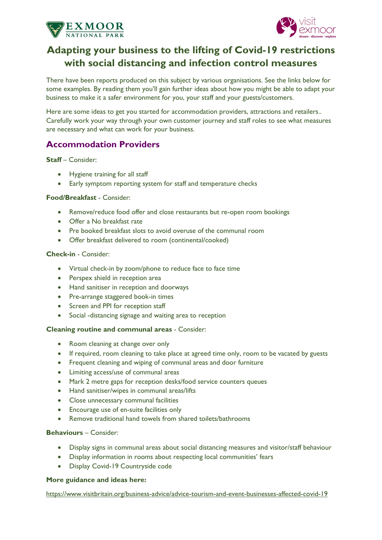



# **Adapting your business to the lifting of Covid-19 restrictions with social distancing and infection control measures**

There have been reports produced on this subject by various organisations. See the links below for some examples. By reading them you'll gain further ideas about how you might be able to adapt your business to make it a safer environment for you, your staff and your guests/customers.

Here are some ideas to get you started for accommodation providers, attractions and retailers.. Carefully work your way through your own customer journey and staff roles to see what measures are necessary and what can work for your business.

## **Accommodation Providers**

**Staff** – Consider:

- Hygiene training for all staff
- Early symptom reporting system for staff and temperature checks

## **Food/Breakfast** - Consider:

- Remove/reduce food offer and close restaurants but re-open room bookings
- Offer a No breakfast rate
- Pre booked breakfast slots to avoid overuse of the communal room
- Offer breakfast delivered to room (continental/cooked)

## **Check-in** - Consider:

- Virtual check-in by zoom/phone to reduce face to face time
- Perspex shield in reception area
- Hand sanitiser in reception and doorways
- Pre-arrange staggered book-in times
- Screen and PPI for reception staff
- Social -distancing signage and waiting area to reception

#### **Cleaning routine and communal areas** - Consider:

- Room cleaning at change over only
- If required, room cleaning to take place at agreed time only, room to be vacated by guests
- Frequent cleaning and wiping of communal areas and door furniture
- Limiting access/use of communal areas
- Mark 2 metre gaps for reception desks/food service counters queues
- Hand sanitiser/wipes in communal areas/lifts
- Close unnecessary communal facilities
- Encourage use of en-suite facilities only
- Remove traditional hand towels from shared toilets/bathrooms

### **Behaviours** – Consider:

- Display signs in communal areas about social distancing measures and visitor/staff behaviour
- Display information in rooms about respecting local communities' fears
- Display Covid-19 Countryside code

### **More guidance and ideas here:**

<https://www.visitbritain.org/business-advice/advice-tourism-and-event-businesses-affected-covid-19>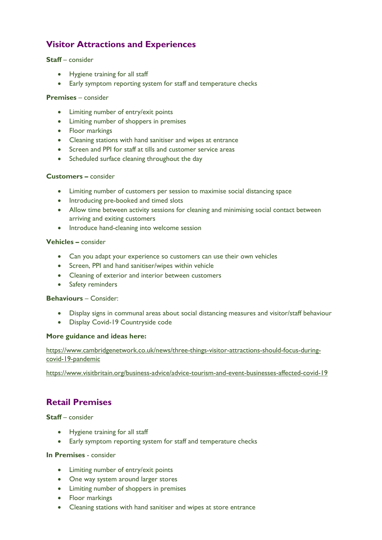## **Visitor Attractions and Experiences**

## **Staff** – consider

- Hygiene training for all staff
- Early symptom reporting system for staff and temperature checks

## **Premises** – consider

- Limiting number of entry/exit points
- Limiting number of shoppers in premises
- Floor markings
- Cleaning stations with hand sanitiser and wipes at entrance
- Screen and PPI for staff at tills and customer service areas
- Scheduled surface cleaning throughout the day

## **Customers –** consider

- Limiting number of customers per session to maximise social distancing space
- Introducing pre-booked and timed slots
- Allow time between activity sessions for cleaning and minimising social contact between arriving and exiting customers
- Introduce hand-cleaning into welcome session

## **Vehicles –** consider

- Can you adapt your experience so customers can use their own vehicles
- Screen, PPI and hand sanitiser/wipes within vehicle
- Cleaning of exterior and interior between customers
- Safety reminders

#### **Behaviours** – Consider:

- Display signs in communal areas about social distancing measures and visitor/staff behaviour
- Display Covid-19 Countryside code

## **More guidance and ideas here:**

[https://www.cambridgenetwork.co.uk/news/three-things-visitor-attractions-should-focus-during](https://www.cambridgenetwork.co.uk/news/three-things-visitor-attractions-should-focus-during-covid-19-pandemic)[covid-19-pandemic](https://www.cambridgenetwork.co.uk/news/three-things-visitor-attractions-should-focus-during-covid-19-pandemic)

<https://www.visitbritain.org/business-advice/advice-tourism-and-event-businesses-affected-covid-19>

## **Retail Premises**

## **Staff** – consider

- Hygiene training for all staff
- Early symptom reporting system for staff and temperature checks

#### **In Premises** - consider

- Limiting number of entry/exit points
- One way system around larger stores
- Limiting number of shoppers in premises
- Floor markings
- Cleaning stations with hand sanitiser and wipes at store entrance